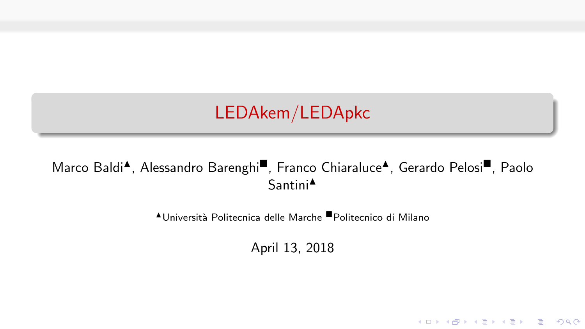LEDAkem/LEDApkc

### Marco Baldi<sup>4</sup>, Alessandro Barenghi<sup>,</sup> Franco Chiaraluce<sup>4</sup>, Gerardo Pelosi<sup>,</sup> Paolo Santini<sup>4</sup>

<sup>N</sup>Universit`a Politecnica delle Marche Politecnico di Milano

April 13, 2018

K ロ ▶ K @ ▶ K 할 ▶ K 할 ▶ | 할 | © 9 Q @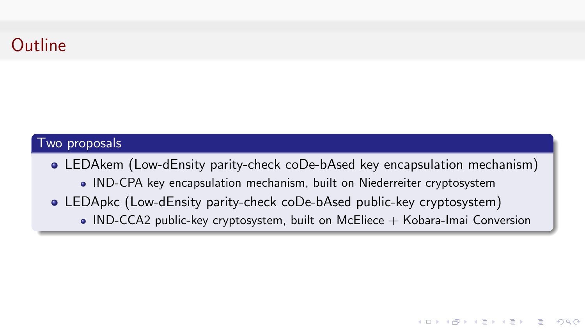# **Outline**

#### Two proposals

LEDAkem (Low-dEnsity parity-check coDe-bAsed key encapsulation mechanism) IND-CPA key encapsulation mechanism, built on Niederreiter cryptosystem

**KORK SERVER OR ADDED** 

LEDApkc (Low-dEnsity parity-check coDe-bAsed public-key cryptosystem)  $\bullet$  IND-CCA2 public-key cryptosystem, built on McEliece  $+$  Kobara-Imai Conversion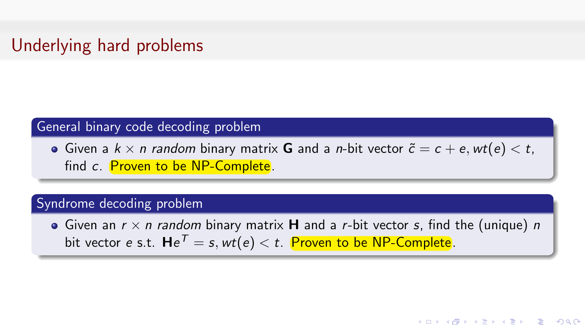### Underlying hard problems

#### General binary code decoding problem

Given a  $k \times n$  random binary matrix G and a *n*-bit vector  $\tilde{c} = c + e$ , wt(e)  $\lt t$ , find c. Proven to be NP-Complete.

#### Syndrome decoding problem

Given an  $r \times n$  random binary matrix **H** and a r-bit vector s, find the (unique) n bit vector  $e$  s.t.  $\bm{\mathsf{H}} e^{\mathcal{T}}=s,$   $\textit{wt}(e) < t.$  Proven to be <code>NP-Complete</code>.

**KORK SERVER OR ADDED**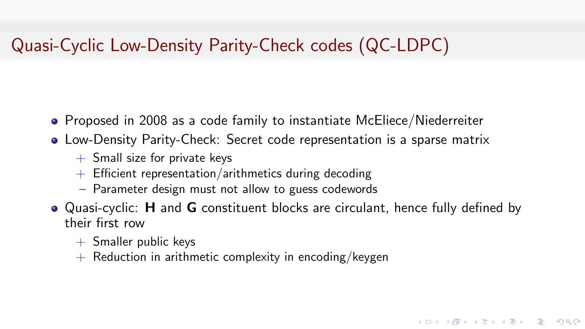## Quasi-Cyclic Low-Density Parity-Check codes (QC-LDPC)

- Proposed in 2008 as a code family to instantiate McEliece/Niederreiter
- Low-Density Parity-Check: Secret code representation is a sparse matrix
	- $+$  Small size for private keys
	- $+$  Efficient representation/arithmetics during decoding
	- Parameter design must not allow to guess codewords
- Quasi-cyclic: **H** and **G** constituent blocks are circulant, hence fully defined by their first row

**KORKARRA ERKER EL POLO** 

- $+$  Smaller public keys
- $+$  Reduction in arithmetic complexity in encoding/keygen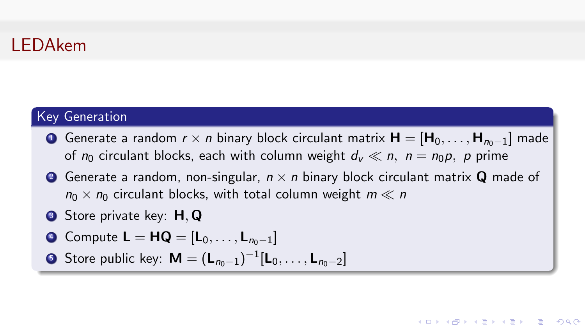### LEDAkem

### Key Generation

- **O** Generate a random  $r \times n$  binary block circulant matrix  $H = [H_0, \ldots, H_{n-1}]$  made of  $n_0$  circulant blocks, each with column weight  $d_v \ll n$ ,  $n = n_0 p$ , p prime
- **2** Generate a random, non-singular,  $n \times n$  binary block circulant matrix **Q** made of  $n_0 \times n_0$  circulant blocks, with total column weight  $m \ll n$

**KORK SERVER OR ADDED** 

- **3** Store private key: **H**, Q
- $\bullet$  Compute **L** = **HQ** =  $[\mathsf{L}_0, \ldots, \mathsf{L}_{n_0-1}]$

• Store public key: 
$$
M = (L_{n_0-1})^{-1}[L_0, \ldots, L_{n_0-2}]
$$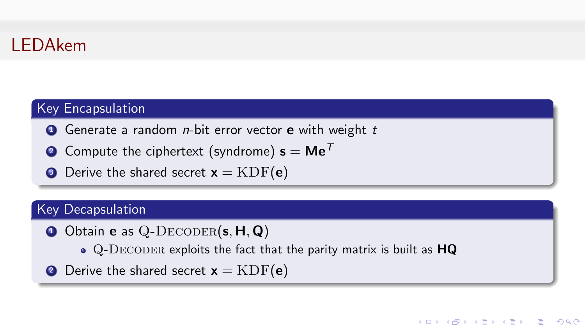

### Key Encapsulation

- $\bullet$  Generate a random *n*-bit error vector **e** with weight t
- **2** Compute the ciphertext (syndrome)  $s = Me^T$
- **3** Derive the shared secret  $x = KDF(e)$

### Key Decapsulation

- $\bullet$  Obtain e as Q-DECODER(s, H, Q)
	- Q-DECODER exploits the fact that the parity matrix is built as HQ
- **2** Derive the shared secret  $x = KDF(e)$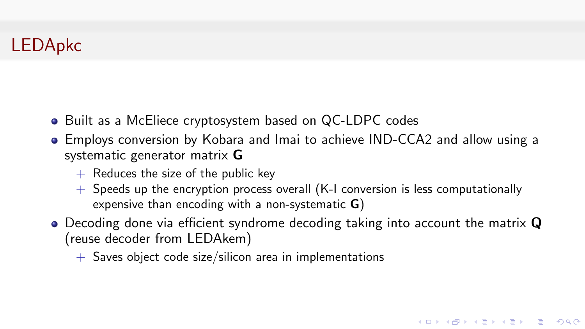### LEDApkc

- Built as a McEliece cryptosystem based on QC-LDPC codes
- Employs conversion by Kobara and Imai to achieve IND-CCA2 and allow using a systematic generator matrix G
	- $+$  Reduces the size of the public key
	- $+$  Speeds up the encryption process overall (K-I conversion is less computationally expensive than encoding with a non-systematic G)
- $\bullet$  Decoding done via efficient syndrome decoding taking into account the matrix  $\mathbf Q$ (reuse decoder from LEDAkem)

K ロ > K @ > K 할 > K 할 > → 할 → ⊙ Q ⊙

 $+$  Saves object code size/silicon area in implementations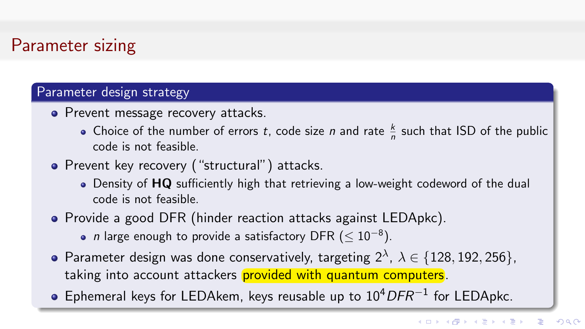# Parameter sizing

#### Parameter design strategy

- Prevent message recovery attacks.
	- Choice of the number of errors t, code size n and rate  $\frac{k}{n}$  such that ISD of the public code is not feasible.
- Prevent key recovery ("structural") attacks.
	- Density of HQ sufficiently high that retrieving a low-weight codeword of the dual code is not feasible.
- Provide a good DFR (hinder reaction attacks against LEDApkc).
	- n large enough to provide a satisfactory DFR ( $\leq 10^{-8}$ ).
- Parameter design was done conservatively, targeting  $2^{\lambda}$ ,  $\lambda \in \{128, 192, 256\}$ , taking into account attackers provided with quantum computers.
- Ephemeral keys for LEDAkem, keys reusable up to  $10^4$ DFR<sup>-1</sup> for LEDApkc.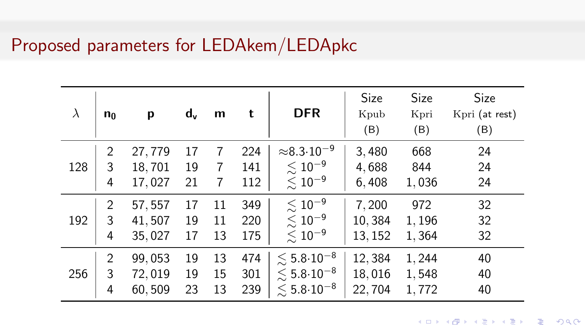### Proposed parameters for LEDAkem/LEDApkc

| $\lambda$ | $n_0$ | p       | $d_v$ | m  | t   | <b>DFR</b>                       | Size<br>Kpub<br>(B) | Size<br>Kpri<br>(B) | <b>Size</b><br>Kpri (at rest)<br>(B) |
|-----------|-------|---------|-------|----|-----|----------------------------------|---------------------|---------------------|--------------------------------------|
|           | 2     | 27,779  | 17    | 7  | 224 | $\approx$ 8.3 $\cdot$ 10 $^{-9}$ | 3,480               | 668                 | 24                                   |
| 128       | 3     | 18,701  | 19    | 7  | 141 | $\lesssim 10^{-9}$               | 4,688               | 844                 | 24                                   |
|           | 4     | 17,027  | 21    | 7  | 112 | $\lesssim 10^{-9}$               | 6,408               | 1,036               | 24                                   |
| 192       | 2     | 57, 557 | 17    | 11 | 349 | $\lesssim 10^{-9}$               | 7,200               | 972                 | 32                                   |
|           | 3     | 41,507  | 19    | 11 | 220 | $\lesssim 10^{-9}$               | 10,384              | 1,196               | 32                                   |
|           | 4     | 35,027  | 17    | 13 | 175 | $\lesssim 10^{-9}$               | 13, 152             | 1,364               | 32                                   |
| 256       | 2     | 99,053  | 19    | 13 | 474 | $\lesssim 5.8\!\cdot\!10^{-8}$   | 12,384              | 1,244               | 40                                   |
|           | 3     | 72,019  | 19    | 15 | 301 | $\lesssim 5.8\!\cdot\!10^{-8}$   | 18,016              | 1,548               | 40                                   |
|           | 4     | 60,509  | 23    | 13 | 239 | $\lesssim 5.8\!\cdot\!10^{-8}$   | 22,704              | 1,772               | 40                                   |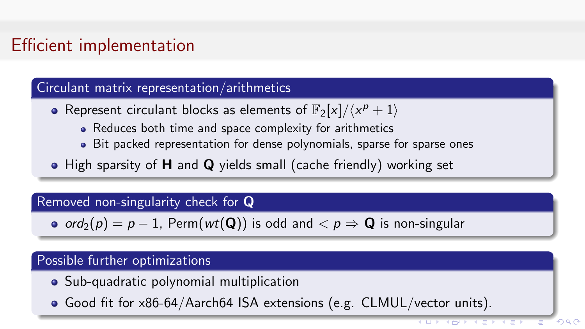# Efficient implementation

#### Circulant matrix representation/arithmetics

- Represent circulant blocks as elements of  $\mathbb{F}_2[x]/\langle x^p + 1 \rangle$ 
	- Reduces both time and space complexity for arithmetics
	- Bit packed representation for dense polynomials, sparse for sparse ones
- High sparsity of **H** and **Q** yields small (cache friendly) working set

### Removed non-singularity check for Q

•  $ord_2(p) = p - 1$ , Perm( $wt(Q)$ ) is odd and  $\langle p \rangle \Rightarrow Q$  is non-singular

#### Possible further optimizations

- Sub-quadratic polynomial multiplication
- Good fit for x86-64/Aarch64 ISA extensions (e.g. CLMUL/vector units).

 $\Omega$ 

イロチ イロチ イモチ イモチ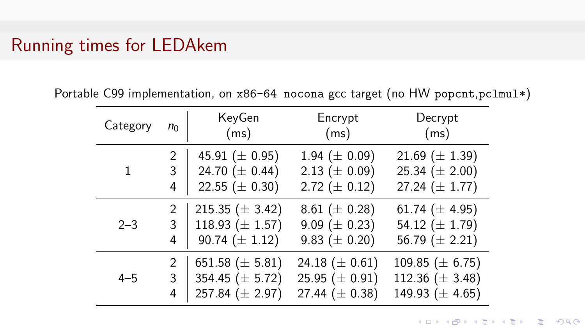### Running times for LEDAkem

Portable C99 implementation, on x86-64 nocona gcc target (no HW popcnt,pclmul\*)

| Category | $n_0$          | KeyGen<br>(ms)      | Encrypt<br>(ms)     | Decrypt<br>(ms)      |
|----------|----------------|---------------------|---------------------|----------------------|
| 1        | 2              | 45.91 $(\pm 0.95)$  | 1.94 ( $\pm$ 0.09)  | 21.69 $(\pm 1.39)$   |
|          | 3              | 24.70 $(\pm 0.44)$  | 2.13 ( $\pm$ 0.09)  | 25.34 ( $\pm$ 2.00)  |
|          | 4              | 22.55 ( $\pm$ 0.30) | 2.72 ( $\pm$ 0.12)  | 27.24 $(\pm 1.77)$   |
| $2 - 3$  | $\overline{2}$ | 215.35 $(\pm 3.42)$ | 8.61 ( $\pm$ 0.28)  | 61.74 $(\pm 4.95)$   |
|          | 3              | 118.93 $(\pm 1.57)$ | 9.09 ( $\pm$ 0.23)  | 54.12 $(\pm 1.79)$   |
|          | 4              | 90.74 $(\pm 1.12)$  | 9.83 ( $\pm$ 0.20)  | 56.79 $(\pm 2.21)$   |
| $4 - 5$  | $\mathcal{P}$  | 651.58 $(\pm 5.81)$ | 24.18 $(\pm 0.61)$  | 109.85 ( $\pm$ 6.75) |
|          | 3              | 354.45 $(\pm 5.72)$ | 25.95 ( $\pm$ 0.91) | 112.36 ( $\pm$ 3.48) |
|          | 4              | 257.84 $(\pm 2.97)$ | 27.44 $(\pm 0.38)$  | 149.93 $(\pm 4.65)$  |